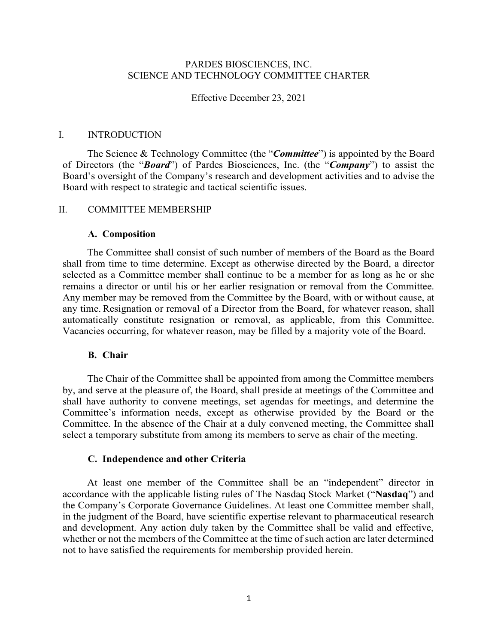# PARDES BIOSCIENCES, INC. SCIENCE AND TECHNOLOGY COMMITTEE CHARTER

Effective December 23, 2021

## I. INTRODUCTION

The Science & Technology Committee (the "*Committee*") is appointed by the Board of Directors (the "*Board*") of Pardes Biosciences, Inc. (the "*Company*") to assist the Board's oversight of the Company's research and development activities and to advise the Board with respect to strategic and tactical scientific issues.

### II. COMMITTEE MEMBERSHIP

#### **A. Composition**

The Committee shall consist of such number of members of the Board as the Board shall from time to time determine. Except as otherwise directed by the Board, a director selected as a Committee member shall continue to be a member for as long as he or she remains a director or until his or her earlier resignation or removal from the Committee. Any member may be removed from the Committee by the Board, with or without cause, at any time. Resignation or removal of a Director from the Board, for whatever reason, shall automatically constitute resignation or removal, as applicable, from this Committee. Vacancies occurring, for whatever reason, may be filled by a majority vote of the Board.

## **B. Chair**

The Chair of the Committee shall be appointed from among the Committee members by, and serve at the pleasure of, the Board, shall preside at meetings of the Committee and shall have authority to convene meetings, set agendas for meetings, and determine the Committee's information needs, except as otherwise provided by the Board or the Committee. In the absence of the Chair at a duly convened meeting, the Committee shall select a temporary substitute from among its members to serve as chair of the meeting.

#### **C. Independence and other Criteria**

At least one member of the Committee shall be an "independent" director in accordance with the applicable listing rules of The Nasdaq Stock Market ("**Nasdaq**") and the Company's Corporate Governance Guidelines. At least one Committee member shall, in the judgment of the Board, have scientific expertise relevant to pharmaceutical research and development. Any action duly taken by the Committee shall be valid and effective, whether or not the members of the Committee at the time of such action are later determined not to have satisfied the requirements for membership provided herein.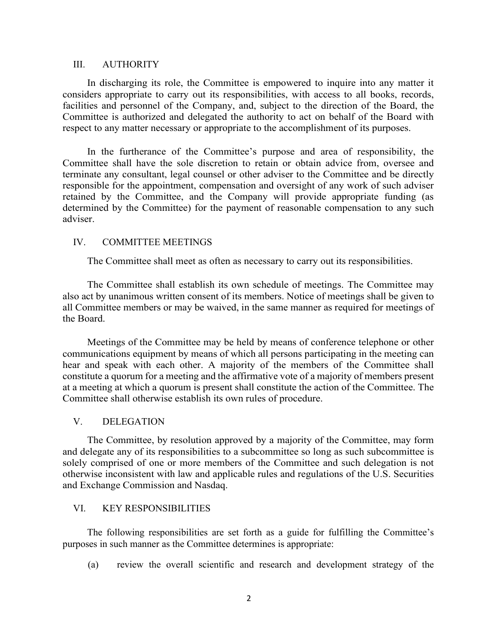### III. AUTHORITY

In discharging its role, the Committee is empowered to inquire into any matter it considers appropriate to carry out its responsibilities, with access to all books, records, facilities and personnel of the Company, and, subject to the direction of the Board, the Committee is authorized and delegated the authority to act on behalf of the Board with respect to any matter necessary or appropriate to the accomplishment of its purposes.

In the furtherance of the Committee's purpose and area of responsibility, the Committee shall have the sole discretion to retain or obtain advice from, oversee and terminate any consultant, legal counsel or other adviser to the Committee and be directly responsible for the appointment, compensation and oversight of any work of such adviser retained by the Committee, and the Company will provide appropriate funding (as determined by the Committee) for the payment of reasonable compensation to any such adviser.

# IV. COMMITTEE MEETINGS

The Committee shall meet as often as necessary to carry out its responsibilities.

The Committee shall establish its own schedule of meetings. The Committee may also act by unanimous written consent of its members. Notice of meetings shall be given to all Committee members or may be waived, in the same manner as required for meetings of the Board.

Meetings of the Committee may be held by means of conference telephone or other communications equipment by means of which all persons participating in the meeting can hear and speak with each other. A majority of the members of the Committee shall constitute a quorum for a meeting and the affirmative vote of a majority of members present at a meeting at which a quorum is present shall constitute the action of the Committee. The Committee shall otherwise establish its own rules of procedure.

# V. DELEGATION

The Committee, by resolution approved by a majority of the Committee, may form and delegate any of its responsibilities to a subcommittee so long as such subcommittee is solely comprised of one or more members of the Committee and such delegation is not otherwise inconsistent with law and applicable rules and regulations of the U.S. Securities and Exchange Commission and Nasdaq.

### VI. KEY RESPONSIBILITIES

The following responsibilities are set forth as a guide for fulfilling the Committee's purposes in such manner as the Committee determines is appropriate:

(a) review the overall scientific and research and development strategy of the